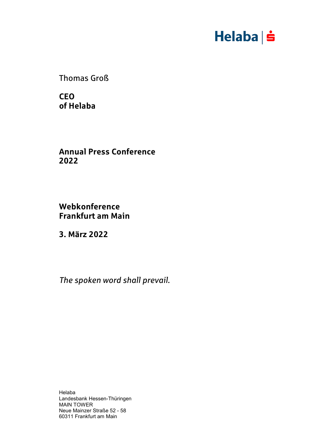# $Helaba \nvert \nvert$

Thomas Groß

**CEO of Helaba**

**Annual Press Conference 2022**

**Webkonference Frankfurt am Main**

**3. März 2022**

*The spoken word shall prevail.*

Helaba Landesbank Hessen-Thüringen MAIN TOWER Neue Mainzer Straße 52 - 58 60311 Frankfurt am Main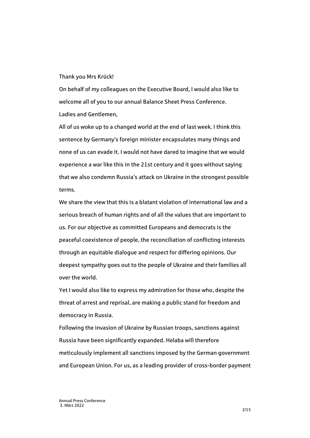## Thank you Mrs Krück!

On behalf of my colleagues on the Executive Board, I would also like to welcome all of you to our annual Balance Sheet Press Conference. Ladies and Gentlemen,

All of us woke up to a changed world at the end of last week. I think this sentence by Germany's foreign minister encapsulates many things and none of us can evade it. I would not have dared to imagine that we would experience a war like this in the 21st century and it goes without saying that we also condemn Russia's attack on Ukraine in the strongest possible terms.

We share the view that this is a blatant violation of international law and a serious breach of human rights and of all the values that are important to us. For our objective as committed Europeans and democrats is the peaceful coexistence of people, the reconciliation of conflicting interests through an equitable dialogue and respect for differing opinions. Our deepest sympathy goes out to the people of Ukraine and their families all over the world.

Yet I would also like to express my admiration for those who, despite the threat of arrest and reprisal, are making a public stand for freedom and democracy in Russia.

Following the invasion of Ukraine by Russian troops, sanctions against Russia have been significantly expanded. Helaba will therefore meticulously implement all sanctions imposed by the German government and European Union. For us, as a leading provider of cross-border payment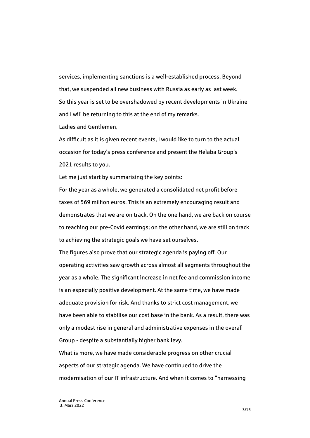services, implementing sanctions is a well-established process. Beyond that, we suspended all new business with Russia as early as last week. So this year is set to be overshadowed by recent developments in Ukraine and I will be returning to this at the end of my remarks.

Ladies and Gentlemen,

As difficult as it is given recent events, I would like to turn to the actual occasion for today's press conference and present the Helaba Group's 2021 results to you.

Let me just start by summarising the key points:

For the year as a whole, we generated a consolidated net profit before taxes of 569 million euros. This is an extremely encouraging result and demonstrates that we are on track. On the one hand, we are back on course to reaching our pre-Covid earnings; on the other hand, we are still on track to achieving the strategic goals we have set ourselves.

The figures also prove that our strategic agenda is paying off. Our operating activities saw growth across almost all segments throughout the year as a whole. The significant increase in net fee and commission income is an especially positive development. At the same time, we have made adequate provision for risk. And thanks to strict cost management, we have been able to stabilise our cost base in the bank. As a result, there was only a modest rise in general and administrative expenses in the overall Group - despite a substantially higher bank levy.

What is more, we have made considerable progress on other crucial aspects of our strategic agenda. We have continued to drive the modernisation of our IT infrastructure. And when it comes to "harnessing

3/15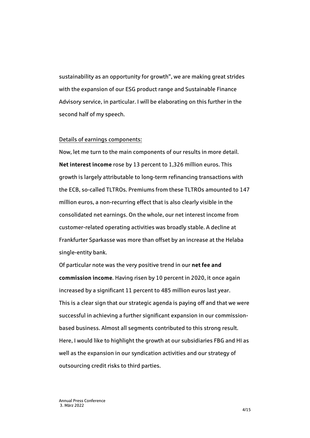sustainability as an opportunity for growth", we are making great strides with the expansion of our ESG product range and Sustainable Finance Advisory service, in particular. I will be elaborating on this further in the second half of my speech.

## Details of earnings components:

Now, let me turn to the main components of our results in more detail. **Net interest income** rose by 13 percent to 1,326 million euros. This growth is largely attributable to long-term refinancing transactions with the ECB, so-called TLTROs. Premiums from these TLTROs amounted to 147 million euros, a non-recurring effect that is also clearly visible in the consolidated net earnings. On the whole, our net interest income from customer-related operating activities was broadly stable. A decline at Frankfurter Sparkasse was more than offset by an increase at the Helaba single-entity bank.

Of particular note was the very positive trend in our **net fee and commission income**. Having risen by 10 percent in 2020, it once again increased by a significant 11 percent to 485 million euros last year. This is a clear sign that our strategic agenda is paying off and that we were successful in achieving a further significant expansion in our commissionbased business. Almost all segments contributed to this strong result. Here, I would like to highlight the growth at our subsidiaries FBG and HI as well as the expansion in our syndication activities and our strategy of outsourcing credit risks to third parties.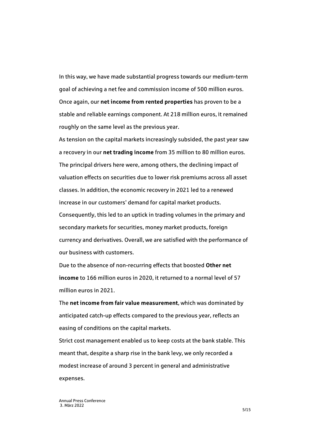In this way, we have made substantial progress towards our medium-term goal of achieving a net fee and commission income of 500 million euros. Once again, our **net income from rented properties** has proven to be a stable and reliable earnings component. At 218 million euros, it remained roughly on the same level as the previous year.

As tension on the capital markets increasingly subsided, the past year saw a recovery in our **net trading income** from 35 million to 80 million euros. The principal drivers here were, among others, the declining impact of valuation effects on securities due to lower risk premiums across all asset classes. In addition, the economic recovery in 2021 led to a renewed increase in our customers' demand for capital market products. Consequently, this led to an uptick in trading volumes in the primary and secondary markets for securities, money market products, foreign currency and derivatives. Overall, we are satisfied with the performance of our business with customers.

Due to the absence of non-recurring effects that boosted **Other net income** to 166 million euros in 2020, it returned to a normal level of 57 million euros in 2021.

The **net income from fair value measurement**, which was dominated by anticipated catch-up effects compared to the previous year, reflects an easing of conditions on the capital markets.

Strict cost management enabled us to keep costs at the bank stable. This meant that, despite a sharp rise in the bank levy, we only recorded a modest increase of around 3 percent in general and administrative expenses.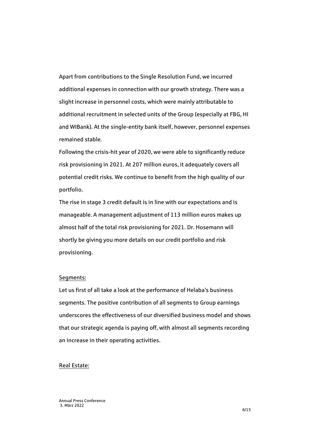Apart from contributions to the Single Resolution Fund, we incurred additional expenses in connection with our growth strategy. There was a slight increase in personnel costs, which were mainly attributable to additional recruitment in selected units of the Group (especially at FBG, HI and WIBank). At the single-entity bank itself, however, personnel expenses remained stable.

Following the crisis-hit year of 2020, we were able to significantly reduce risk provisioning in 2021. At 207 million euros, it adequately covers all potential credit risks. We continue to benefit from the high quality of our portfolio.

The rise in stage 3 credit default is in line with our expectations and is manageable. A management adjustment of 113 million euros makes up almost half of the total risk provisioning for 2021. Dr. Hosemann will shortly be giving you more details on our credit portfolio and risk provisioning.

# Segments:

Let us first of all take a look at the performance of Helaba's business segments. The positive contribution of all segments to Group earnings underscores the effectiveness of our diversified business model and shows that our strategic agenda is paying off, with almost all segments recording an increase in their operating activities.

#### Real Estate: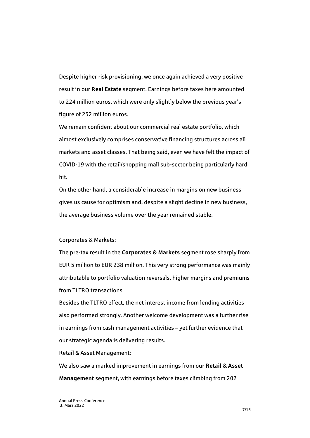Despite higher risk provisioning, we once again achieved a very positive result in our **Real Estate** segment. Earnings before taxes here amounted to 224 million euros, which were only slightly below the previous year's figure of 252 million euros.

We remain confident about our commercial real estate portfolio, which almost exclusively comprises conservative financing structures across all markets and asset classes. That being said, even we have felt the impact of COVID-19 with the retail/shopping mall sub-sector being particularly hard hit.

On the other hand, a considerable increase in margins on new business gives us cause for optimism and, despite a slight decline in new business, the average business volume over the year remained stable.

## Corporates & Markets:

The pre-tax result in the **Corporates & Markets** segment rose sharply from EUR 5 million to EUR 238 million. This very strong performance was mainly attributable to portfolio valuation reversals, higher margins and premiums from TLTRO transactions.

Besides the TLTRO effect, the net interest income from lending activities also performed strongly. Another welcome development was a further rise in earnings from cash management activities – yet further evidence that our strategic agenda is delivering results.

Retail & Asset Management:

We also saw a marked improvement in earnings from our **Retail & Asset Management** segment, with earnings before taxes climbing from 202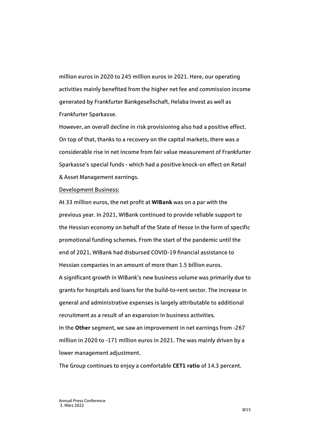million euros in 2020 to 245 million euros in 2021. Here, our operating activities mainly benefited from the higher net fee and commission income generated by Frankfurter Bankgesellschaft, Helaba Invest as well as Frankfurter Sparkasse.

However, an overall decline in risk provisioning also had a positive effect. On top of that, thanks to a recovery on the capital markets, there was a considerable rise in net income from fair value measurement of Frankfurter Sparkasse's special funds - which had a positive knock-on effect on Retail & Asset Management earnings.

## Development Business:

At 33 million euros, the net profit at **WIBank** was on a par with the previous year. In 2021, WIBank continued to provide reliable support to the Hessian economy on behalf of the State of Hesse in the form of specific promotional funding schemes. From the start of the pandemic until the end of 2021, WIBank had disbursed COVID-19 financial assistance to Hessian companies in an amount of more than 1.5 billion euros. A significant growth in WIBank's new business volume was primarily due to grants for hospitals and loans for the build-to-rent sector. The increase in general and administrative expenses is largely attributable to additional recruitment as a result of an expansion in business activities. In the **Other** segment, we saw an improvement in net earnings from -267 million in 2020 to -171 million euros in 2021. The was mainly driven by a lower management adjustment.

The Group continues to enjoy a comfortable **CET1 ratio** of 14.3 percent.

Annual Press Conference 3. März 2022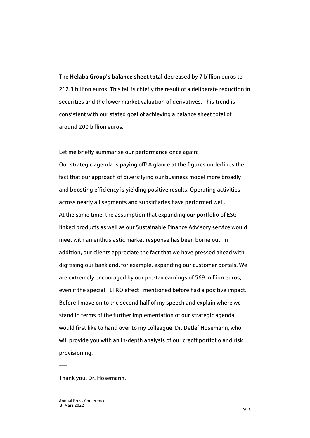The **Helaba Group's balance sheet total** decreased by 7 billion euros to 212.3 billion euros. This fall is chiefly the result of a deliberate reduction in securities and the lower market valuation of derivatives. This trend is consistent with our stated goal of achieving a balance sheet total of around 200 billion euros.

Let me briefly summarise our performance once again: Our strategic agenda is paying off! A glance at the figures underlines the fact that our approach of diversifying our business model more broadly and boosting efficiency is yielding positive results. Operating activities across nearly all segments and subsidiaries have performed well. At the same time, the assumption that expanding our portfolio of ESGlinked products as well as our Sustainable Finance Advisory service would meet with an enthusiastic market response has been borne out. In addition, our clients appreciate the fact that we have pressed ahead with digitising our bank and, for example, expanding our customer portals. We are extremely encouraged by our pre-tax earnings of 569 million euros, even if the special TLTRO effect I mentioned before had a positive impact. Before I move on to the second half of my speech and explain where we stand in terms of the further implementation of our strategic agenda, I would first like to hand over to my colleague, Dr. Detlef Hosemann, who will provide you with an in-depth analysis of our credit portfolio and risk provisioning.

----

Thank you, Dr. Hosemann.

Annual Press Conference 3. März 2022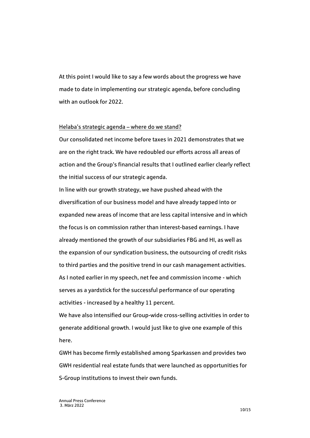At this point I would like to say a few words about the progress we have made to date in implementing our strategic agenda, before concluding with an outlook for 2022.

## Helaba's strategic agenda – where do we stand?

Our consolidated net income before taxes in 2021 demonstrates that we are on the right track. We have redoubled our efforts across all areas of action and the Group's financial results that I outlined earlier clearly reflect the initial success of our strategic agenda.

In line with our growth strategy, we have pushed ahead with the diversification of our business model and have already tapped into or expanded new areas of income that are less capital intensive and in which the focus is on commission rather than interest-based earnings. I have already mentioned the growth of our subsidiaries FBG and HI, as well as the expansion of our syndication business, the outsourcing of credit risks to third parties and the positive trend in our cash management activities. As I noted earlier in my speech, net fee and commission income - which serves as a yardstick for the successful performance of our operating activities - increased by a healthy 11 percent.

We have also intensified our Group-wide cross-selling activities in order to generate additional growth. I would just like to give one example of this here.

GWH has become firmly established among Sparkassen and provides two GWH residential real estate funds that were launched as opportunities for S-Group institutions to invest their own funds.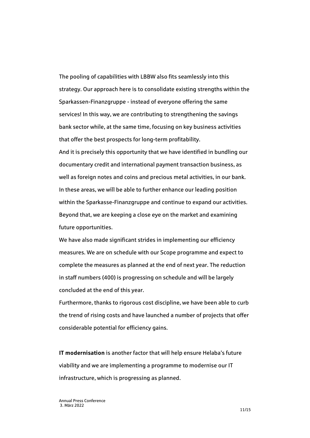The pooling of capabilities with LBBW also fits seamlessly into this strategy. Our approach here is to consolidate existing strengths within the Sparkassen-Finanzgruppe - instead of everyone offering the same services! In this way, we are contributing to strengthening the savings bank sector while, at the same time, focusing on key business activities that offer the best prospects for long-term profitability.

And it is precisely this opportunity that we have identified in bundling our documentary credit and international payment transaction business, as well as foreign notes and coins and precious metal activities, in our bank. In these areas, we will be able to further enhance our leading position within the Sparkasse-Finanzgruppe and continue to expand our activities. Beyond that, we are keeping a close eye on the market and examining future opportunities.

We have also made significant strides in implementing our efficiency measures. We are on schedule with our Scope programme and expect to complete the measures as planned at the end of next year. The reduction in staff numbers (400) is progressing on schedule and will be largely concluded at the end of this year.

Furthermore, thanks to rigorous cost discipline, we have been able to curb the trend of rising costs and have launched a number of projects that offer considerable potential for efficiency gains.

**IT modernisation** is another factor that will help ensure Helaba's future viability and we are implementing a programme to modernise our IT infrastructure, which is progressing as planned.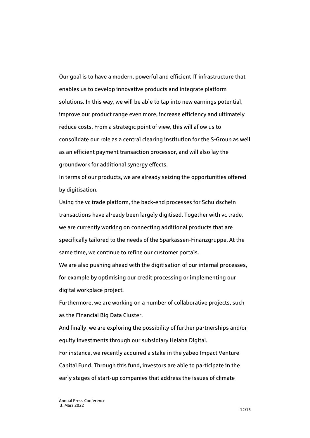Our goal is to have a modern, powerful and efficient IT infrastructure that enables us to develop innovative products and integrate platform solutions. In this way, we will be able to tap into new earnings potential, improve our product range even more, increase efficiency and ultimately reduce costs. From a strategic point of view, this will allow us to consolidate our role as a central clearing institution for the S-Group as well as an efficient payment transaction processor, and will also lay the groundwork for additional synergy effects.

In terms of our products, we are already seizing the opportunities offered by digitisation.

Using the vc trade platform, the back-end processes for Schuldschein transactions have already been largely digitised. Together with vc trade, we are currently working on connecting additional products that are specifically tailored to the needs of the Sparkassen-Finanzgruppe. At the same time, we continue to refine our customer portals.

We are also pushing ahead with the digitisation of our internal processes, for example by optimising our credit processing or implementing our digital workplace project.

Furthermore, we are working on a number of collaborative projects, such as the Financial Big Data Cluster.

And finally, we are exploring the possibility of further partnerships and/or equity investments through our subsidiary Helaba Digital.

For instance, we recently acquired a stake in the yabeo Impact Venture Capital Fund. Through this fund, investors are able to participate in the early stages of start-up companies that address the issues of climate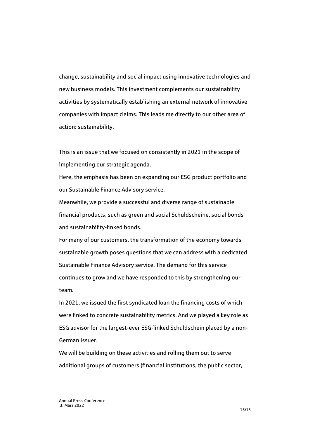change, sustainability and social impact using innovative technologies and new business models. This investment complements our sustainability activities by systematically establishing an external network of innovative companies with impact claims. This leads me directly to our other area of action: sustainability.

This is an issue that we focused on consistently in 2021 in the scope of implementing our strategic agenda.

Here, the emphasis has been on expanding our ESG product portfolio and our Sustainable Finance Advisory service.

Meanwhile, we provide a successful and diverse range of sustainable financial products, such as green and social Schuldscheine, social bonds and sustainability-linked bonds.

For many of our customers, the transformation of the economy towards sustainable growth poses questions that we can address with a dedicated Sustainable Finance Advisory service. The demand for this service continues to grow and we have responded to this by strengthening our team.

In 2021, we issued the first syndicated loan the financing costs of which were linked to concrete sustainability metrics. And we played a key role as ESG advisor for the largest-ever ESG-linked Schuldschein placed by a non-German issuer.

We will be building on these activities and rolling them out to serve additional groups of customers (financial institutions, the public sector,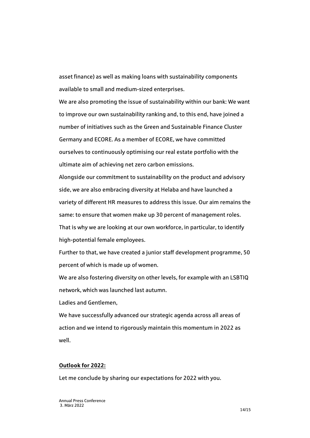asset finance) as well as making loans with sustainability components available to small and medium-sized enterprises.

We are also promoting the issue of sustainability within our bank: We want to improve our own sustainability ranking and, to this end, have joined a number of initiatives such as the Green and Sustainable Finance Cluster Germany and ECORE. As a member of ECORE, we have committed ourselves to continuously optimising our real estate portfolio with the ultimate aim of achieving net zero carbon emissions.

Alongside our commitment to sustainability on the product and advisory side, we are also embracing diversity at Helaba and have launched a variety of different HR measures to address this issue. Our aim remains the same: to ensure that women make up 30 percent of management roles. That is why we are looking at our own workforce, in particular, to identify high-potential female employees.

Further to that, we have created a junior staff development programme, 50 percent of which is made up of women.

We are also fostering diversity on other levels, for example with an LSBTIQ network, which was launched last autumn.

Ladies and Gentlemen,

We have successfully advanced our strategic agenda across all areas of action and we intend to rigorously maintain this momentum in 2022 as well.

# **Outlook for 2022:**

Let me conclude by sharing our expectations for 2022 with you.